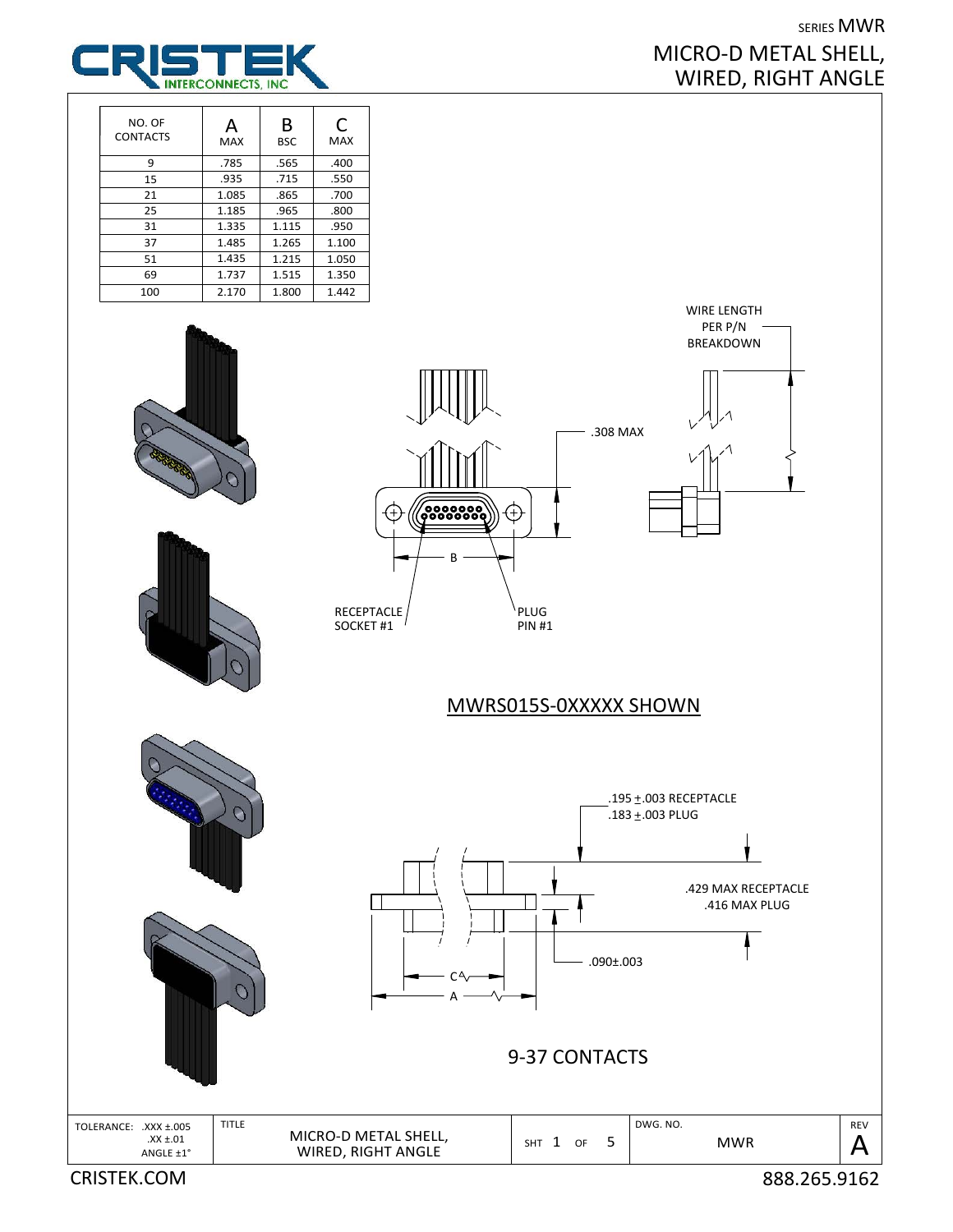## SERIES MWR MICRO‐D METAL SHELL, WIRED, RIGHT ANGLE



| NO. OF<br><b>CONTACTS</b> | Д<br><b>MAX</b> | В<br><b>BSC</b> | C<br><b>MAX</b> |
|---------------------------|-----------------|-----------------|-----------------|
| 9                         | .785            | .565            | .400            |
| 15                        | .935            | .715            | .550            |
| 21                        | 1.085           | .865            | .700            |
| 25                        | 1.185           | .965            | .800            |
| 31                        | 1.335           | 1.115           | .950            |
| 37                        | 1.485           | 1.265           | 1.100           |
| 51                        | 1.435           | 1.215           | 1.050           |
| 69                        | 1.737           | 1.515           | 1.350           |
| 100                       | 2.170           | 1.800           | 1.442           |







.308 MAX



WIRE LENGTH PER P/N **BREAKDOWN** 

MWRS015S‐0XXXXX SHOWN

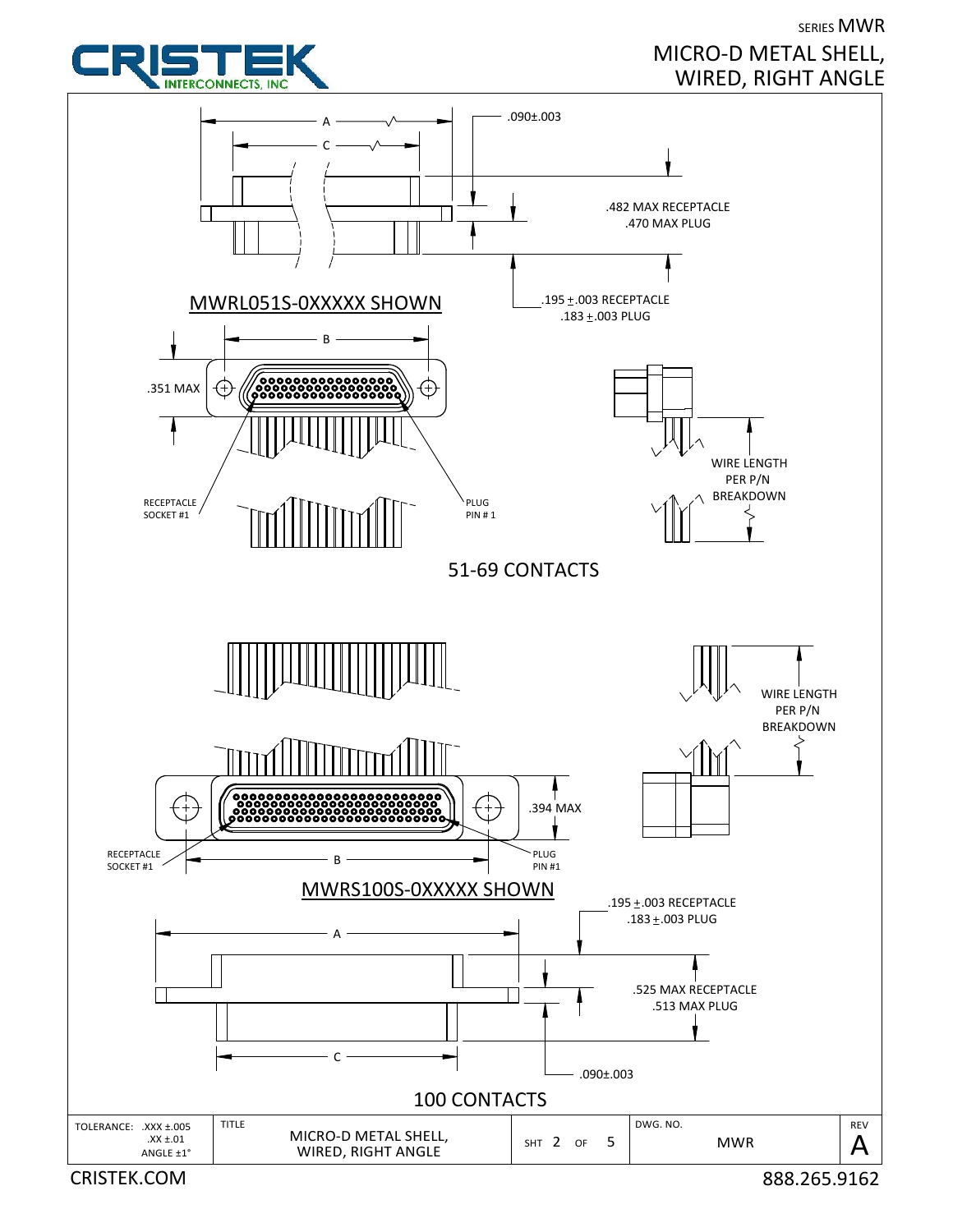



MICRO‐D METAL SHELL, WIRED, RIGHT ANGLE

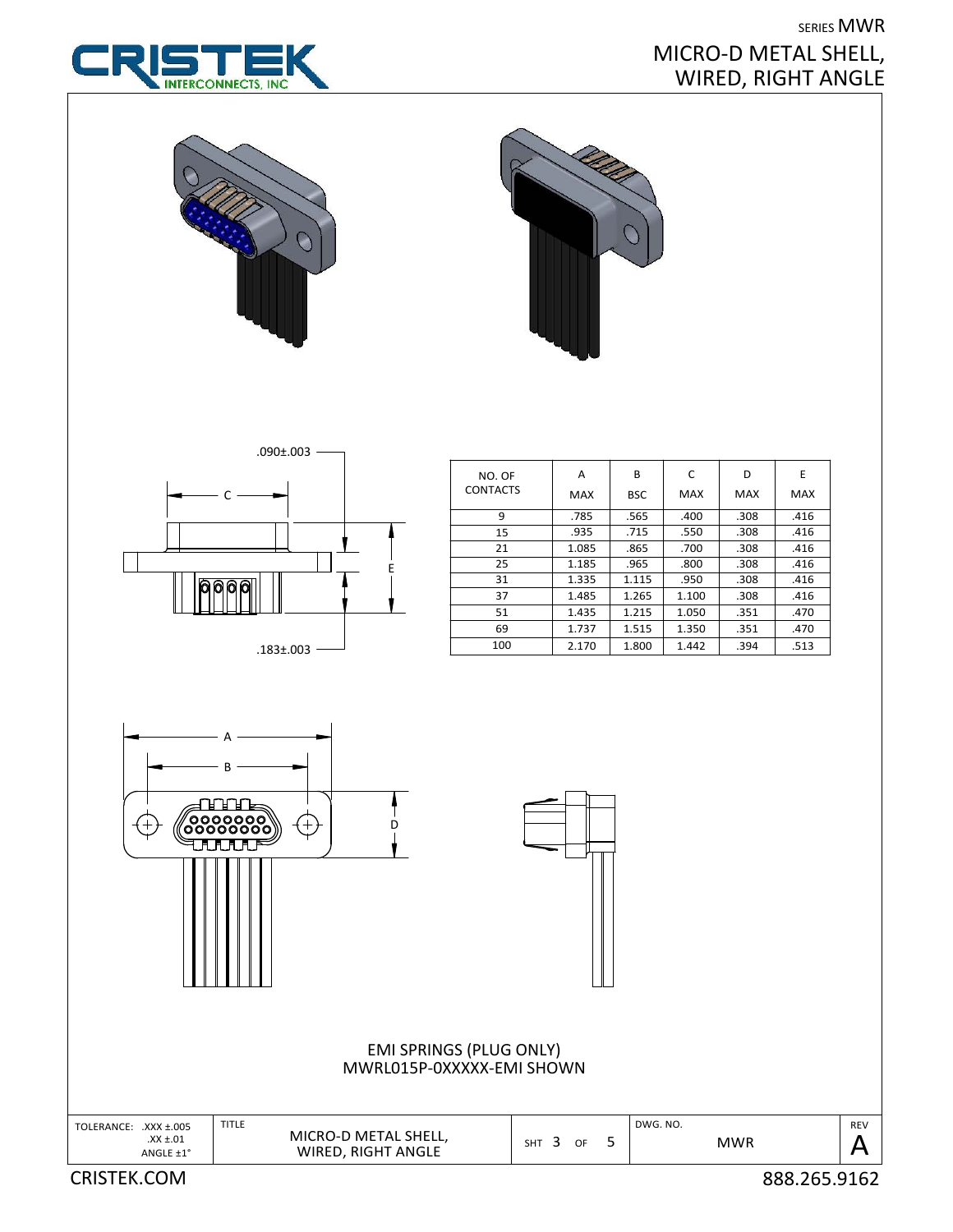



## SERIES MWR MICRO‐D METAL SHELL, WIRED, RIGHT ANGLE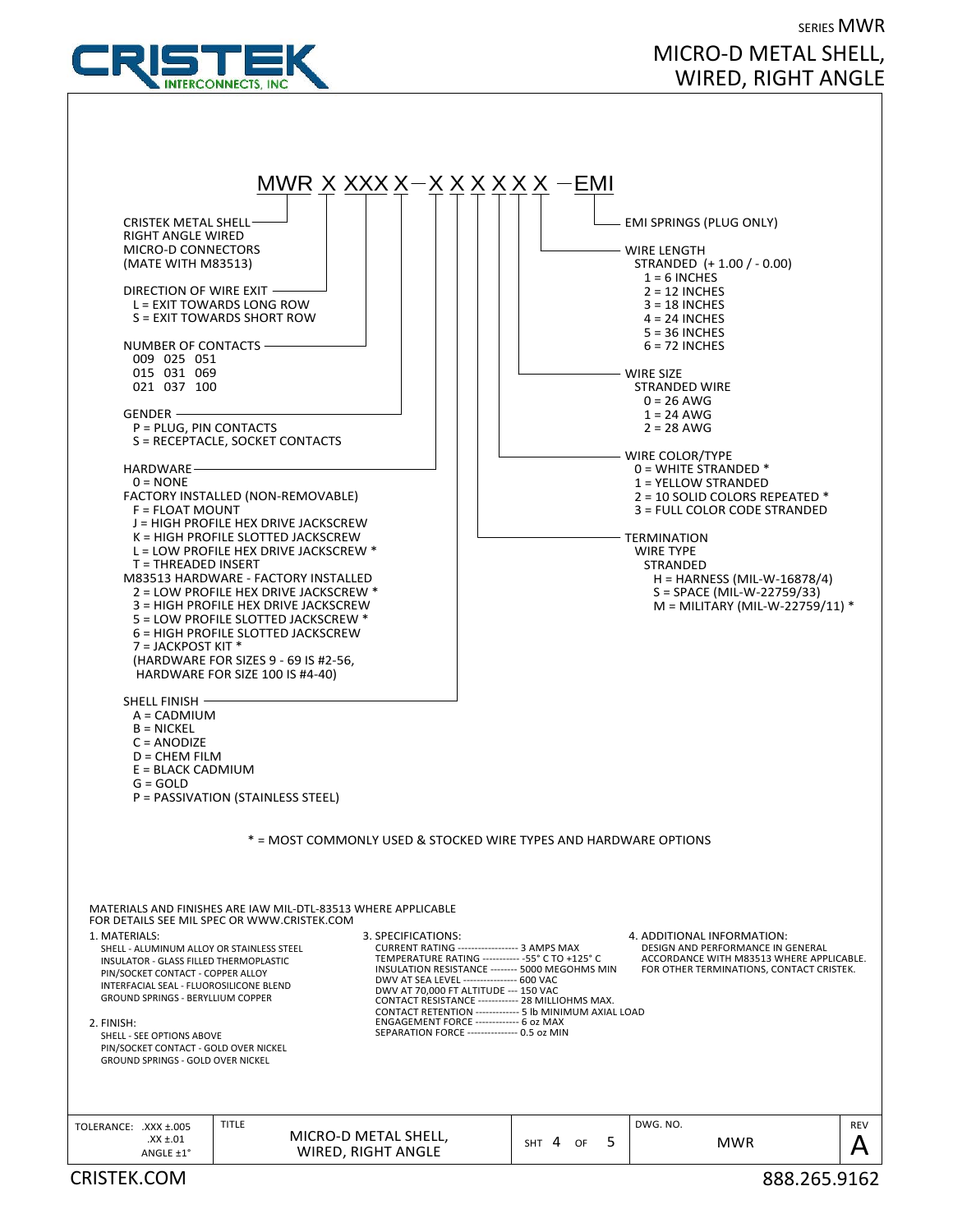

## SERIES MWR MICRO‐D METAL SHELL, WIRED, RIGHT ANGLE